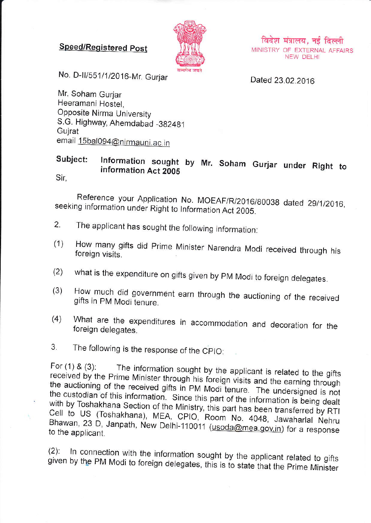## **Speed/Registered Post**



विदेश मंत्रालय, नई दिल्ली MINISTRY OF EXTERNAL AFFAIRS NEW DELHI

No. D-II/551/1/2016-Mr. Gurjar

Dated 23.02.2016

Mr. Soham Gurjar Heeramani Hostel. Opposite Nirma University S.G. Highway, Ahemdabad -382481 Guirat email 15bal094@nirmauni.ac.in

## Subject: Information sought by Mr. Soham Gurjar under Right to information Act 2005

Sir,

Reference your Application No. MOEAF/R/2016/80038 dated 29/1/2016, seeking information under Right to Information Act 2005.

- $2.$ The applicant has sought the following information:
- How many gifts did Prime Minister Narendra Modi received through his  $(1)$ foreign visits.
- what is the expenditure on gifts given by PM Modi to foreign delegates.  $(2)$
- How much did government earn through the auctioning of the received  $(3)$ gifts in PM Modi tenure.
- What are the expenditures in accommodation and decoration for the  $(4)$ foreign delegates.
- 3. The following is the response of the CPIO:

For  $(1)$  &  $(3)$ : The information sought by the applicant is related to the gifts received by the Prime Minister through his foreign visits and the earning through the auctioning of the received gifts in PM Modi tenure. The undersigned is not the custodian of this information. Since this part of the information is being dealt with by Toshakhana Section of the Ministry, this part has been transferred by RTI Cell to US (Toshakhana), MEA, CPIO, Room No. 4048, Jawaharlal Nehru Bhawan, 23 D, Janpath, New Delhi-110011 (usoda@mea.gov.in) for a response to the applicant.

In connection with the information sought by the applicant related to gifts  $(2)$ : given by the PM Modi to foreign delegates, this is to state that the Prime Minister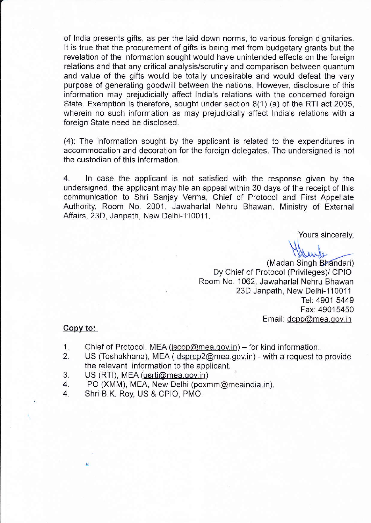of lndia presents gifts, as per the laid down norms, to various foreign dignitaries. It is true that the procurement of gifts is being met from budgefary grants but the revelation of the information sought would have unintended effects on the foreign relations and that any critical analysis/scrutiny and comparison between quantum and value of the gifts would be totally undesirable and would defeat the very purpose of generating goodwill between the nations. However, disclosure of this information may prejudicially affect lndia's relations with the concerned foreign State. Exemption is therefore, sought under section 8(1) (a) of the RTI act 2005, wherein no such information as may prejudicially affect lndia's relations with a foreign State need be disclosed.

(4): The information sought by the applicant is related to the expenditures in accommodation and decoration for the foreign delegates. The undersigned is not the custodian of this information.

4. ln case the applicant is not satisfied with the response given by the undersigned, the applicant may file an appeal within 30 days of the receipt of this communication to Shri Sanjay Verma, Chief of Protocol and First Appellate Authority, Room No. 2001, Jawaharlal Nehru Bhawan, Ministry of External Affairs, 23D, Janpath, New Delhi-110011.

Yours sincerely,

(Madan Singh Bhandari) Dy Chief of Protocol (Privileges)/ CPIO Room No. 1062, Jawaharlal Nehru Bhawan 23D Janpath, New Delhi-110011 Tel: 4901 5449 Fax: 49015450 Email: dcpp@mea.gov.in

## Copy to:

L.

- 1. Chief of Protocol, MEA (jscop@mea.gov.in) for kind information.
- 1. Chief of Protocol, MEA (*jscop@mea.gov.in*) for kind information.<br>2. US (Toshakhana), MEA ( dsprop2@mea.gov.in) with a request to provide the relevant information to the applicant.
- 3. US (RTI), MEA (usrti@mea.gov.in)<br>4. PO (XMM), MEA, New Delhi (poxn
- 4. PO (XMM), MEA, New Delhi (poxmm@meaindia.in).<br>4. Shri B.K. Rov. US & CPIO. PMO.
- Shri B.K. Roy, US & CPIO, PMO.